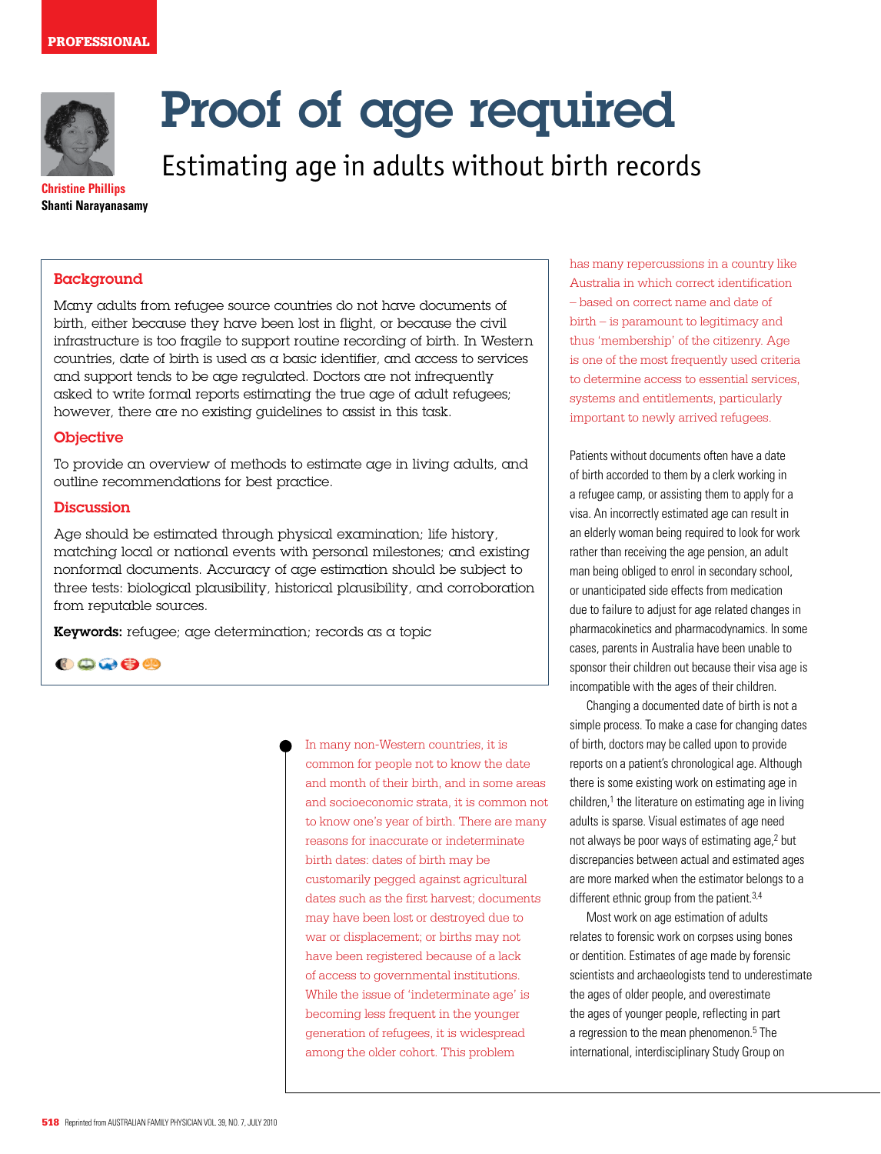

# Proof of age required

Estimating age in adults without birth records

**Christine Phillips Shanti Narayanasamy**

#### **Background**

Many adults from refugee source countries do not have documents of birth, either because they have been lost in flight, or because the civil infrastructure is too fragile to support routine recording of birth. In Western countries, date of birth is used as a basic identifier, and access to services and support tends to be age regulated. Doctors are not infrequently asked to write formal reports estimating the true age of adult refugees; however, there are no existing guidelines to assist in this task.

#### **Objective**

To provide an overview of methods to estimate age in living adults, and outline recommendations for best practice.

#### **Discussion**

Age should be estimated through physical examination; life history, matching local or national events with personal milestones; and existing nonformal documents. Accuracy of age estimation should be subject to three tests: biological plausibility, historical plausibility, and corroboration from reputable sources.

Keywords: refugee; age determination; records as a topic

00000

In many non-Western countries, it is common for people not to know the date and month of their birth, and in some areas and socioeconomic strata, it is common not to know one's year of birth. There are many reasons for inaccurate or indeterminate birth dates: dates of birth may be customarily pegged against agricultural dates such as the first harvest; documents may have been lost or destroyed due to war or displacement; or births may not have been registered because of a lack of access to governmental institutions. While the issue of 'indeterminate age' is becoming less frequent in the younger generation of refugees, it is widespread among the older cohort. This problem

has many repercussions in a country like Australia in which correct identification – based on correct name and date of birth – is paramount to legitimacy and thus 'membership' of the citizenry. Age is one of the most frequently used criteria to determine access to essential services, systems and entitlements, particularly important to newly arrived refugees.

Patients without documents often have a date of birth accorded to them by a clerk working in a refugee camp, or assisting them to apply for a visa. An incorrectly estimated age can result in an elderly woman being required to look for work rather than receiving the age pension, an adult man being obliged to enrol in secondary school, or unanticipated side effects from medication due to failure to adjust for age related changes in pharmacokinetics and pharmacodynamics. In some cases, parents in Australia have been unable to sponsor their children out because their visa age is incompatible with the ages of their children.

Changing a documented date of birth is not a simple process. To make a case for changing dates of birth, doctors may be called upon to provide reports on a patient's chronological age. Although there is some existing work on estimating age in children,<sup>1</sup> the literature on estimating age in living adults is sparse. Visual estimates of age need not always be poor ways of estimating age,<sup>2</sup> but discrepancies between actual and estimated ages are more marked when the estimator belongs to a different ethnic group from the patient.<sup>3,4</sup>

Most work on age estimation of adults relates to forensic work on corpses using bones or dentition. Estimates of age made by forensic scientists and archaeologists tend to underestimate the ages of older people, and overestimate the ages of younger people, reflecting in part a regression to the mean phenomenon.<sup>5</sup> The international, interdisciplinary Study Group on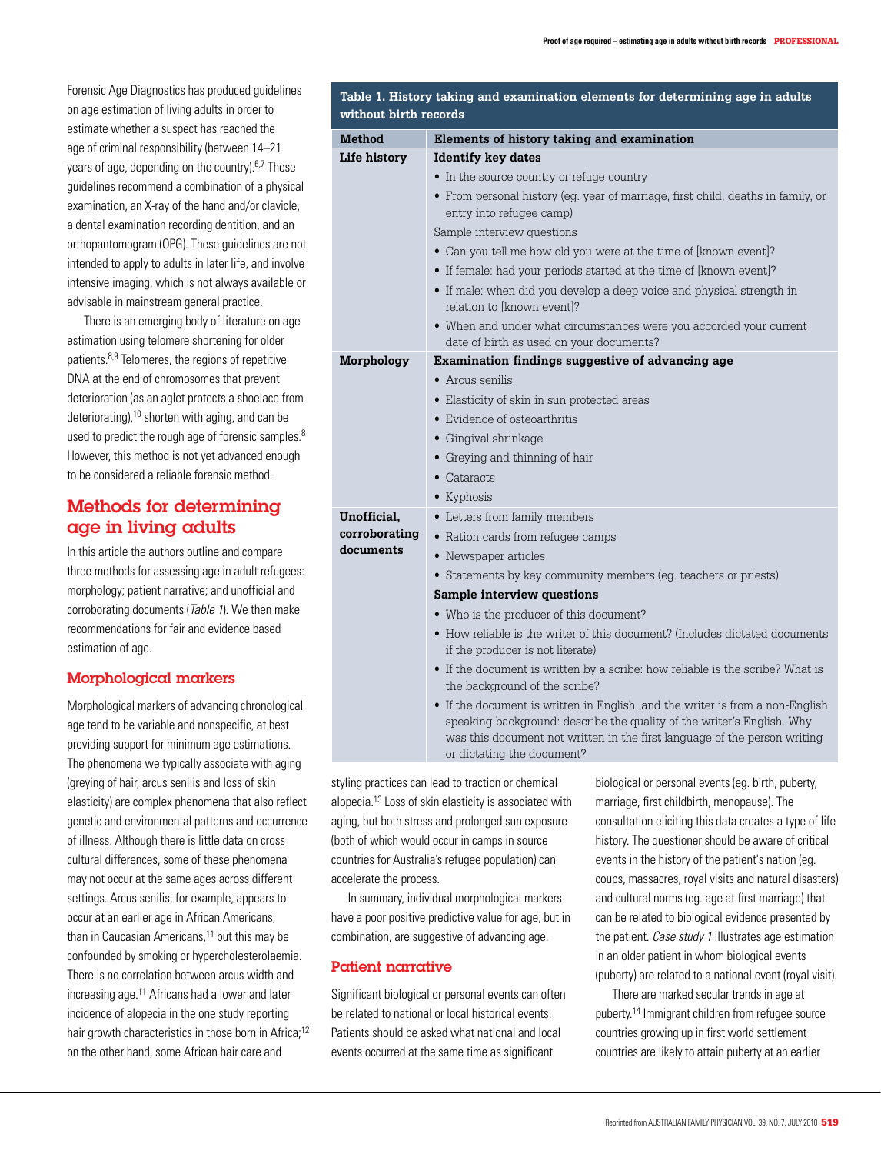Forensic Age Diagnostics has produced guidelines on age estimation of living adults in order to estimate whether a suspect has reached the age of criminal responsibility (between 14–21 years of age, depending on the country).6,7 These guidelines recommend a combination of a physical examination, an X-ray of the hand and/or clavicle, a dental examination recording dentition, and an orthopantomogram (OPG). These guidelines are not intended to apply to adults in later life, and involve intensive imaging, which is not always available or advisable in mainstream general practice.

There is an emerging body of literature on age estimation using telomere shortening for older patients.<sup>8,9</sup> Telomeres, the regions of repetitive DNA at the end of chromosomes that prevent deterioration (as an aglet protects a shoelace from deteriorating), $10$  shorten with aging, and can be used to predict the rough age of forensic samples.<sup>8</sup> However, this method is not yet advanced enough to be considered a reliable forensic method.

# Methods for determining age in living adults

In this article the authors outline and compare three methods for assessing age in adult refugees: morphology; patient narrative; and unofficial and corroborating documents (Table 1). We then make recommendations for fair and evidence based estimation of age.

## Morphological markers

Morphological markers of advancing chronological age tend to be variable and nonspecific, at best providing support for minimum age estimations. The phenomena we typically associate with aging (greying of hair, arcus senilis and loss of skin elasticity) are complex phenomena that also reflect genetic and environmental patterns and occurrence of illness. Although there is little data on cross cultural differences, some of these phenomena may not occur at the same ages across different settings. Arcus senilis, for example, appears to occur at an earlier age in African Americans, than in Caucasian Americans, $11$  but this may be confounded by smoking or hypercholesterolaemia. There is no correlation between arcus width and increasing age.<sup>11</sup> Africans had a lower and later incidence of alopecia in the one study reporting hair growth characteristics in those born in Africa;<sup>12</sup> on the other hand, some African hair care and

| Table 1. History taking and examination elements for determining age in adults<br>without birth records |                                                                                                                |  |
|---------------------------------------------------------------------------------------------------------|----------------------------------------------------------------------------------------------------------------|--|
| <b>Method</b>                                                                                           | Elements of history taking and examination                                                                     |  |
| Life history                                                                                            | <b>Identify key dates</b>                                                                                      |  |
|                                                                                                         | • In the source country or refuge country                                                                      |  |
|                                                                                                         | • From personal history (eg. year of marriage, first child, deaths in family, or<br>entry into refugee camp)   |  |
|                                                                                                         | Sample interview questions                                                                                     |  |
|                                                                                                         | • Can you tell me how old you were at the time of [known event]?                                               |  |
|                                                                                                         | • If female: had your periods started at the time of [known event]?                                            |  |
|                                                                                                         | • If male: when did you develop a deep voice and physical strength in<br>relation to [known event]?            |  |
|                                                                                                         | • When and under what circumstances were you accorded your current<br>date of birth as used on your documents? |  |
| Morphology                                                                                              | <b>Examination findings suggestive of advancing age</b>                                                        |  |
|                                                                                                         | • Arcus senilis                                                                                                |  |
|                                                                                                         | • Elasticity of skin in sun protected areas                                                                    |  |
|                                                                                                         | • Evidence of osteoarthritis                                                                                   |  |
|                                                                                                         | • Gingival shrinkage                                                                                           |  |
|                                                                                                         | • Greying and thinning of hair                                                                                 |  |
|                                                                                                         | $\bullet$ Cataracts                                                                                            |  |
|                                                                                                         | • Kyphosis                                                                                                     |  |
| Unofficial,<br>corroborating<br>documents                                                               | • Letters from family members                                                                                  |  |
|                                                                                                         | • Ration cards from refugee camps                                                                              |  |
|                                                                                                         | • Newspaper articles                                                                                           |  |
|                                                                                                         | • Statements by key community members (eg. teachers or priests)                                                |  |
|                                                                                                         | Sample interview questions                                                                                     |  |
|                                                                                                         | • Who is the producer of this document?                                                                        |  |

- How reliable is the writer of this document? (Includes dictated documents if the producer is not literate)
- If the document is written by a scribe: how reliable is the scribe? What is the background of the scribe?
- If the document is written in English, and the writer is from a non-English speaking background: describe the quality of the writer's English. Why was this document not written in the first language of the person writing or dictating the document?

styling practices can lead to traction or chemical alopecia.13 Loss of skin elasticity is associated with aging, but both stress and prolonged sun exposure (both of which would occur in camps in source countries for Australia's refugee population) can accelerate the process.

In summary, individual morphological markers have a poor positive predictive value for age, but in combination, are suggestive of advancing age.

## Patient narrative

Significant biological or personal events can often be related to national or local historical events. Patients should be asked what national and local events occurred at the same time as significant

biological or personal events (eg. birth, puberty, marriage, first childbirth, menopause). The consultation eliciting this data creates a type of life history. The questioner should be aware of critical events in the history of the patient's nation (eg. coups, massacres, royal visits and natural disasters) and cultural norms (eg. age at first marriage) that can be related to biological evidence presented by the patient. Case study 1 illustrates age estimation in an older patient in whom biological events (puberty) are related to a national event (royal visit).

There are marked secular trends in age at puberty.14 Immigrant children from refugee source countries growing up in first world settlement countries are likely to attain puberty at an earlier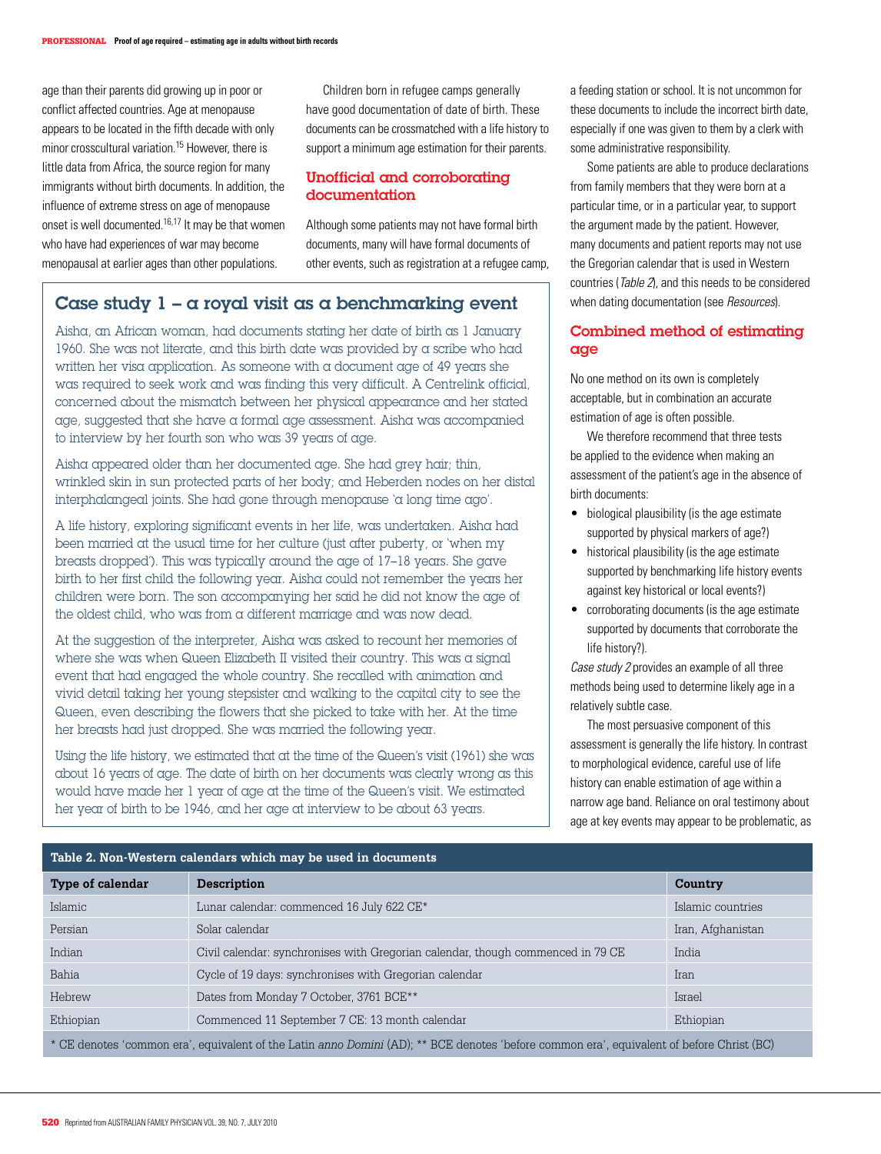age than their parents did growing up in poor or conflict affected countries. Age at menopause appears to be located in the fifth decade with only minor crosscultural variation.15 However, there is little data from Africa, the source region for many immigrants without birth documents. In addition, the influence of extreme stress on age of menopause onset is well documented.16,17 It may be that women who have had experiences of war may become menopausal at earlier ages than other populations.

Children born in refugee camps generally have good documentation of date of birth. These documents can be crossmatched with a life history to support a minimum age estimation for their parents.

## Unofficial and corroborating documentation

Although some patients may not have formal birth documents, many will have formal documents of other events, such as registration at a refugee camp,

# Case study  $1 - \alpha$  royal visit as a benchmarking event

Aisha, an African woman, had documents stating her date of birth as 1 January 1960. She was not literate, and this birth date was provided by a scribe who had written her visa application. As someone with a document age of 49 years she was required to seek work and was finding this very difficult. A Centrelink official, concerned about the mismatch between her physical appearance and her stated age, suggested that she have a formal age assessment. Aisha was accompanied to interview by her fourth son who was 39 years of age.

Aisha appeared older than her documented age. She had grey hair; thin, wrinkled skin in sun protected parts of her body; and Heberden nodes on her distal interphalangeal joints. She had gone through menopause 'a long time ago'.

A life history, exploring significant events in her life, was undertaken. Aisha had been married at the usual time for her culture (just after puberty, or 'when my breasts dropped'). This was typically around the age of 17–18 years. She gave birth to her first child the following year. Aisha could not remember the years her children were born. The son accompanying her said he did not know the age of the oldest child, who was from a different marriage and was now dead.

At the suggestion of the interpreter, Aisha was asked to recount her memories of where she was when Queen Elizabeth II visited their country. This was a signal event that had engaged the whole country. She recalled with animation and vivid detail taking her young stepsister and walking to the capital city to see the Queen, even describing the flowers that she picked to take with her. At the time her breasts had just dropped. She was married the following year.

Using the life history, we estimated that at the time of the Queen's visit (1961) she was about 16 years of age. The date of birth on her documents was clearly wrong as this would have made her 1 year of age at the time of the Queen's visit. We estimated her year of birth to be 1946, and her age at interview to be about 63 years.

a feeding station or school. It is not uncommon for these documents to include the incorrect birth date, especially if one was given to them by a clerk with some administrative responsibility.

Some patients are able to produce declarations from family members that they were born at a particular time, or in a particular year, to support the argument made by the patient. However, many documents and patient reports may not use the Gregorian calendar that is used in Western countries (Table 2), and this needs to be considered when dating documentation (see Resources).

#### Combined method of estimating age

No one method on its own is completely acceptable, but in combination an accurate estimation of age is often possible.

We therefore recommend that three tests be applied to the evidence when making an assessment of the patient's age in the absence of birth documents:

- biological plausibility (is the age estimate supported by physical markers of age?)
- historical plausibility (is the age estimate supported by benchmarking life history events against key historical or local events?)
- corroborating documents (is the age estimate supported by documents that corroborate the life history?).

Case study 2 provides an example of all three methods being used to determine likely age in a relatively subtle case.

The most persuasive component of this assessment is generally the life history. In contrast to morphological evidence, careful use of life history can enable estimation of age within a narrow age band. Reliance on oral testimony about age at key events may appear to be problematic, as

| فبالداخذ فالماط والمنطاع والمتحا والماري المناف الماد والمنداد والمنخ والمناد والمتحاد المساحل والمتحاد المتحاد الماسا                    |                                                                                 |                   |  |
|-------------------------------------------------------------------------------------------------------------------------------------------|---------------------------------------------------------------------------------|-------------------|--|
| <b>Type of calendar</b>                                                                                                                   | <b>Description</b>                                                              | Country           |  |
| Islamic                                                                                                                                   | Lunar calendar: commenced 16 July 622 CE*                                       | Islamic countries |  |
| Persian                                                                                                                                   | Solar calendar                                                                  | Iran, Afghanistan |  |
| Indian                                                                                                                                    | Civil calendar: synchronises with Gregorian calendar, though commenced in 79 CE | India             |  |
| Bahia                                                                                                                                     | Cycle of 19 days: synchronises with Gregorian calendar                          | Iran              |  |
| Hebrew                                                                                                                                    | Dates from Monday 7 October, 3761 BCE**                                         | Israel            |  |
| Ethiopian                                                                                                                                 | Commenced 11 September 7 CE: 13 month calendar                                  | Ethiopian         |  |
| * CE denotes 'common era', equivalent of the Latin anno Domini (AD); ** BCE denotes 'before common era', equivalent of before Christ (BC) |                                                                                 |                   |  |

#### **Table 2. Non-Western calendars which may be used in documents**